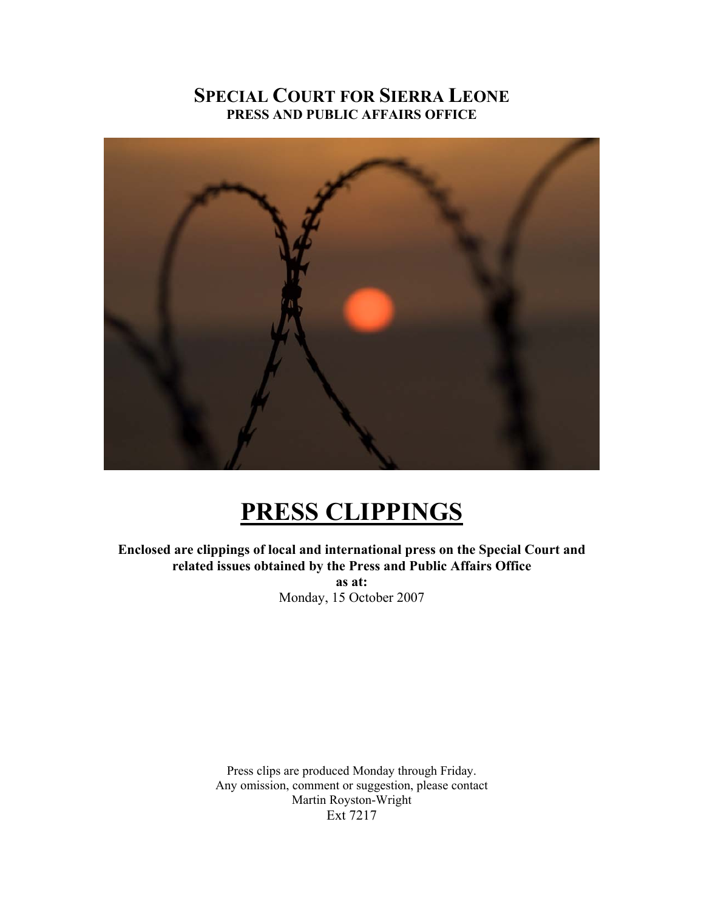# **SPECIAL COURT FOR SIERRA LEONE PRESS AND PUBLIC AFFAIRS OFFICE**



# **PRESS CLIPPINGS**

**Enclosed are clippings of local and international press on the Special Court and related issues obtained by the Press and Public Affairs Office as at:**  Monday, 15 October 2007

> Press clips are produced Monday through Friday. Any omission, comment or suggestion, please contact Martin Royston-Wright Ext 7217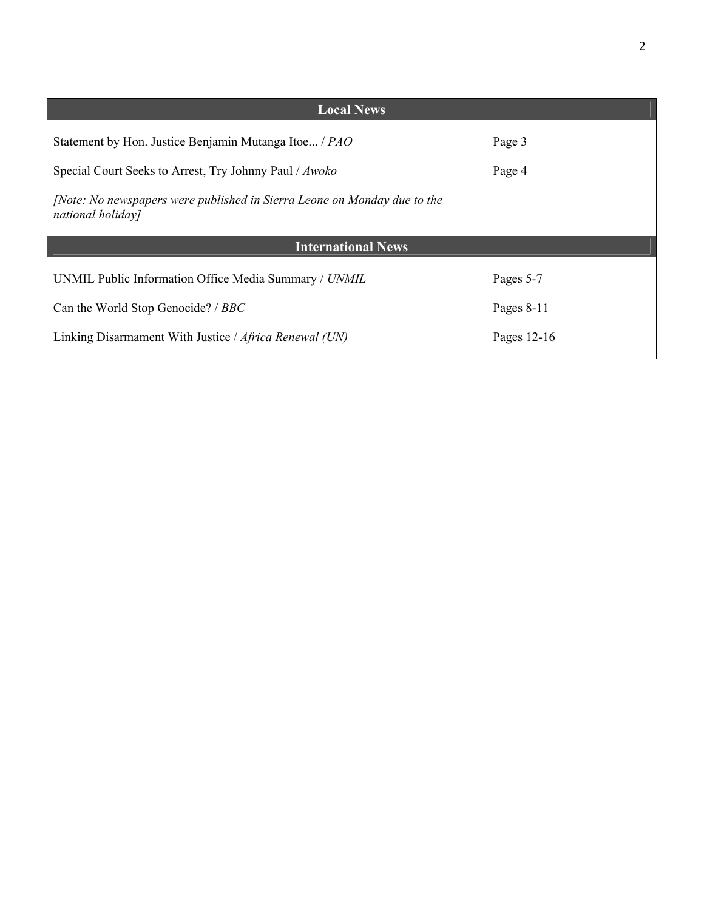| <b>Local News</b>                                                                                    |              |
|------------------------------------------------------------------------------------------------------|--------------|
| Statement by Hon. Justice Benjamin Mutanga Itoe <i>  PAO</i>                                         | Page 3       |
| Special Court Seeks to Arrest, Try Johnny Paul / Awoko                                               | Page 4       |
| <i>[Note: No newspapers were published in Sierra Leone on Monday due to the</i><br>national holiday] |              |
| <b>International News</b>                                                                            |              |
| UNMIL Public Information Office Media Summary / UNMIL                                                | Pages 5-7    |
| Can the World Stop Genocide? / BBC                                                                   | Pages $8-11$ |
| Linking Disarmament With Justice / Africa Renewal (UN)                                               | Pages 12-16  |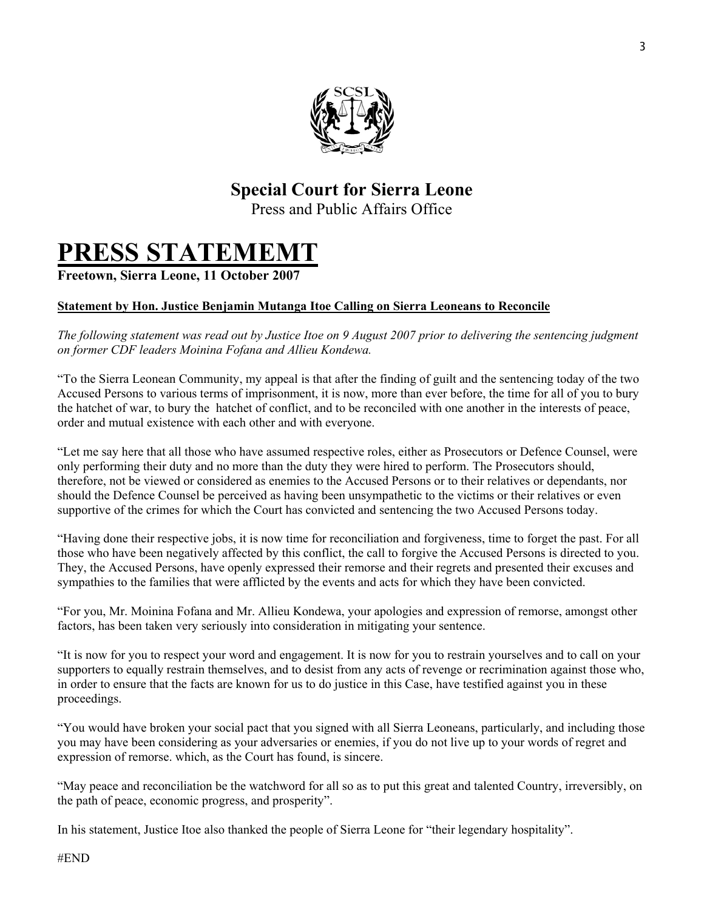

# **Special Court for Sierra Leone**

Press and Public Affairs Office

# **PRESS STATEMEMT Freetown, Sierra Leone, 11 October 2007**

# **Statement by Hon. Justice Benjamin Mutanga Itoe Calling on Sierra Leoneans to Reconcile**

*The following statement was read out by Justice Itoe on 9 August 2007 prior to delivering the sentencing judgment on former CDF leaders Moinina Fofana and Allieu Kondewa.* 

"To the Sierra Leonean Community, my appeal is that after the finding of guilt and the sentencing today of the two Accused Persons to various terms of imprisonment, it is now, more than ever before, the time for all of you to bury the hatchet of war, to bury the hatchet of conflict, and to be reconciled with one another in the interests of peace, order and mutual existence with each other and with everyone.

"Let me say here that all those who have assumed respective roles, either as Prosecutors or Defence Counsel, were only performing their duty and no more than the duty they were hired to perform. The Prosecutors should, therefore, not be viewed or considered as enemies to the Accused Persons or to their relatives or dependants, nor should the Defence Counsel be perceived as having been unsympathetic to the victims or their relatives or even supportive of the crimes for which the Court has convicted and sentencing the two Accused Persons today.

"Having done their respective jobs, it is now time for reconciliation and forgiveness, time to forget the past. For all those who have been negatively affected by this conflict, the call to forgive the Accused Persons is directed to you. They, the Accused Persons, have openly expressed their remorse and their regrets and presented their excuses and sympathies to the families that were afflicted by the events and acts for which they have been convicted.

"For you, Mr. Moinina Fofana and Mr. Allieu Kondewa, your apologies and expression of remorse, amongst other factors, has been taken very seriously into consideration in mitigating your sentence.

"It is now for you to respect your word and engagement. It is now for you to restrain yourselves and to call on your supporters to equally restrain themselves, and to desist from any acts of revenge or recrimination against those who, in order to ensure that the facts are known for us to do justice in this Case, have testified against you in these proceedings.

"You would have broken your social pact that you signed with all Sierra Leoneans, particularly, and including those you may have been considering as your adversaries or enemies, if you do not live up to your words of regret and expression of remorse. which, as the Court has found, is sincere.

"May peace and reconciliation be the watchword for all so as to put this great and talented Country, irreversibly, on the path of peace, economic progress, and prosperity".

In his statement, Justice Itoe also thanked the people of Sierra Leone for "their legendary hospitality".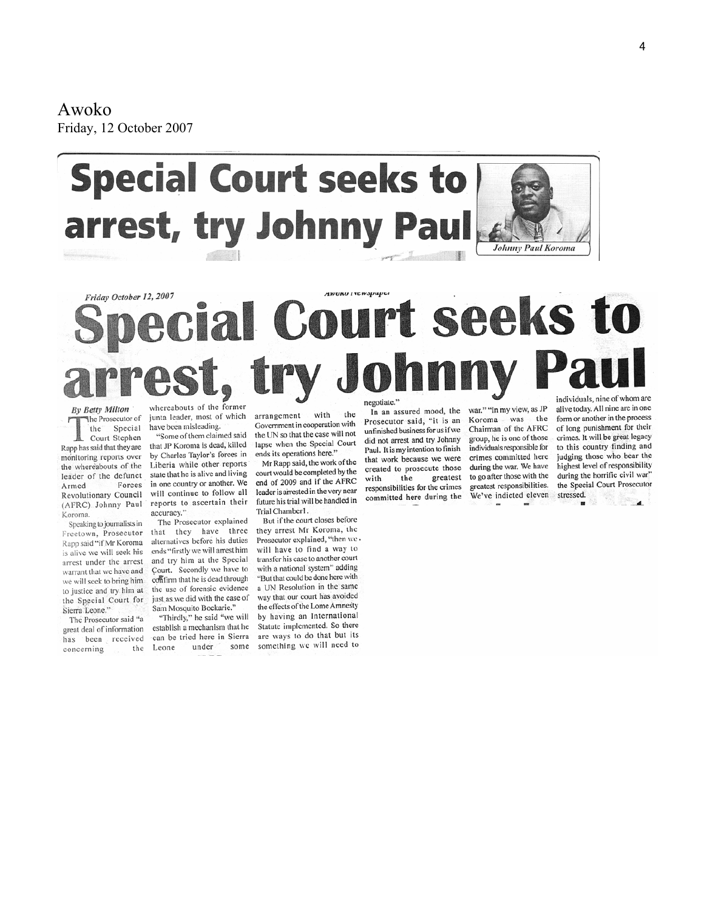Awoko Friday, 12 October 2007



## Friday October 12, 2007 cial Court seeks to  $\bigcup$ individuals, nine of whom are negotiate. whereabouts of the former **By Betty Milton** In an assured mood, the

The Prosecutor of the Special Court Stephen

Rapp has said that they are monitoring reports over the whereabouts of the leader of the defunct Armed Forces Revolutionary Council (AFRC) Johnny Paul Koroma.

Speaking to journalists in Freetown, Prosecutor Rapp said "if Mr Koroma is alive we will seek his arrest under the arrest warrant that we have and we will seek to bring him to justice and try him at the Special Court for Sierra Leone."

The Prosecutor said "a great deal of information has been received concerning the

junta leader, most of which have been misleading.

"Some of them claimed said that JP Koroma is dead, killed by Charles Taylor's forces in Liberia while other reports state that he is alive and living in one country or another. We will continue to follow all reports to ascertain their accuracy."

The Prosecutor explained that they have three alternatives before his duties ends "firstly we will arrest him and try him at the Special Court. Secondly we have to confirm that he is dead through the use of forensic evidence just as we did with the case of Sam Mosquito Bockarie."

"Thirdly," he said "we will establish a mechanism that he can be tried here in Sierra under some Leone

with the arrangement Government in cooperation with the UN so that the case will not lapse when the Special Court ends its operations here."

Mr Rapp said, the work of the court would be completed by the end of 2009 and if the AFRC leader is arrested in the very near future his trial will be handled in Trial Chamber1.

But if the court closes before they arrest Mr Koroma, the Prosecutor explained, "then we will have to find a way to transfer his case to another court with a national system" adding "But that could be done here with a UN Resolution in the same way that our court has avoided the effects of the Lome Amnesty by having an International Statute implemented. So there are ways to do that but its something we will need to

Prosecutor said, "it is an unfinished business for us if we did not arrest and try Johnny Paul. It is my intention to finish that work because we were created to prosecute those greatest with the responsibilities for the crimes committed here during the war." "In my view, as JP Koroma was the Chairman of the AFRC group, he is one of those individuals responsible for crimes committed here during the war. We have to go after those with the greatest responsibilities. We've indicted eleven stressed.

alive today. All nine are in one form or another in the process of long punishment for their crimes. It will be great legacy to this country finding and judging those who bear the highest level of responsibility during the horrific civil war" the Special Court Prosecutor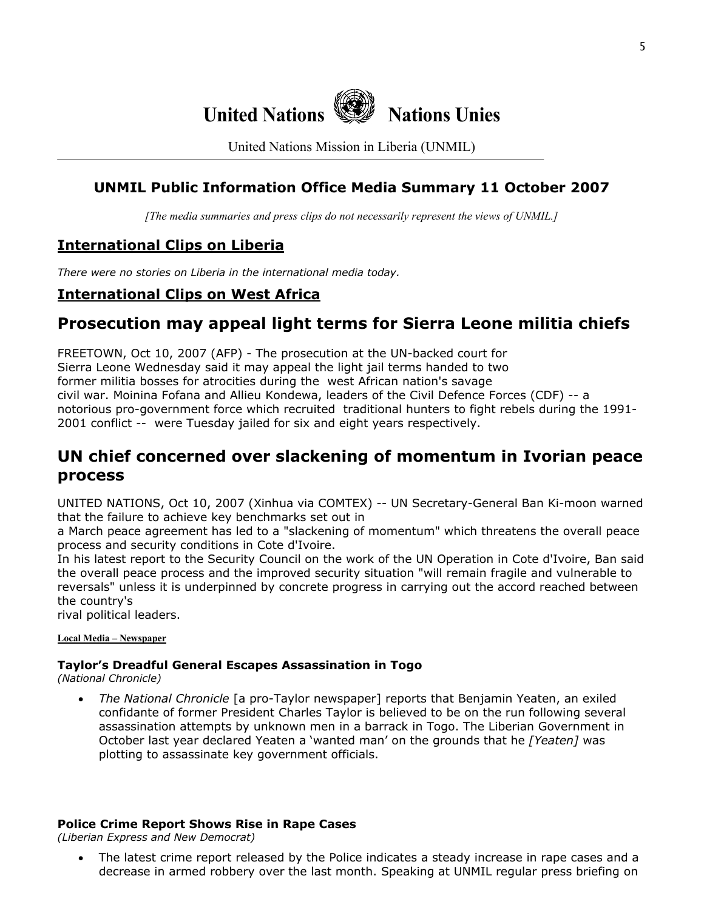

United Nations Mission in Liberia (UNMIL)

# **UNMIL Public Information Office Media Summary 11 October 2007**

*[The media summaries and press clips do not necessarily represent the views of UNMIL.]*

# **International Clips on Liberia**

*There were no stories on Liberia in the international media today.*

# **International Clips on West Africa**

# **Prosecution may appeal light terms for Sierra Leone militia chiefs**

FREETOWN, Oct 10, 2007 (AFP) - The prosecution at the UN-backed court for Sierra Leone Wednesday said it may appeal the light jail terms handed to two former militia bosses for atrocities during the west African nation's savage civil war. Moinina Fofana and Allieu Kondewa, leaders of the Civil Defence Forces (CDF) -- a notorious pro-government force which recruited traditional hunters to fight rebels during the 1991- 2001 conflict -- were Tuesday jailed for six and eight years respectively.

# **UN chief concerned over slackening of momentum in Ivorian peace process**

UNITED NATIONS, Oct 10, 2007 (Xinhua via COMTEX) -- UN Secretary-General Ban Ki-moon warned that the failure to achieve key benchmarks set out in

a March peace agreement has led to a "slackening of momentum" which threatens the overall peace process and security conditions in Cote d'Ivoire.

In his latest report to the Security Council on the work of the UN Operation in Cote d'Ivoire, Ban said the overall peace process and the improved security situation "will remain fragile and vulnerable to reversals" unless it is underpinned by concrete progress in carrying out the accord reached between the country's

rival political leaders.

#### **Local Media – Newspaper**

## **Taylor's Dreadful General Escapes Assassination in Togo**

*(National Chronicle)* 

• *The National Chronicle* [a pro-Taylor newspaper] reports that Benjamin Yeaten, an exiled confidante of former President Charles Taylor is believed to be on the run following several assassination attempts by unknown men in a barrack in Togo. The Liberian Government in October last year declared Yeaten a 'wanted man' on the grounds that he *[Yeaten]* was plotting to assassinate key government officials.

#### **Police Crime Report Shows Rise in Rape Cases**

*(Liberian Express and New Democrat)* 

• The latest crime report released by the Police indicates a steady increase in rape cases and a decrease in armed robbery over the last month. Speaking at UNMIL regular press briefing on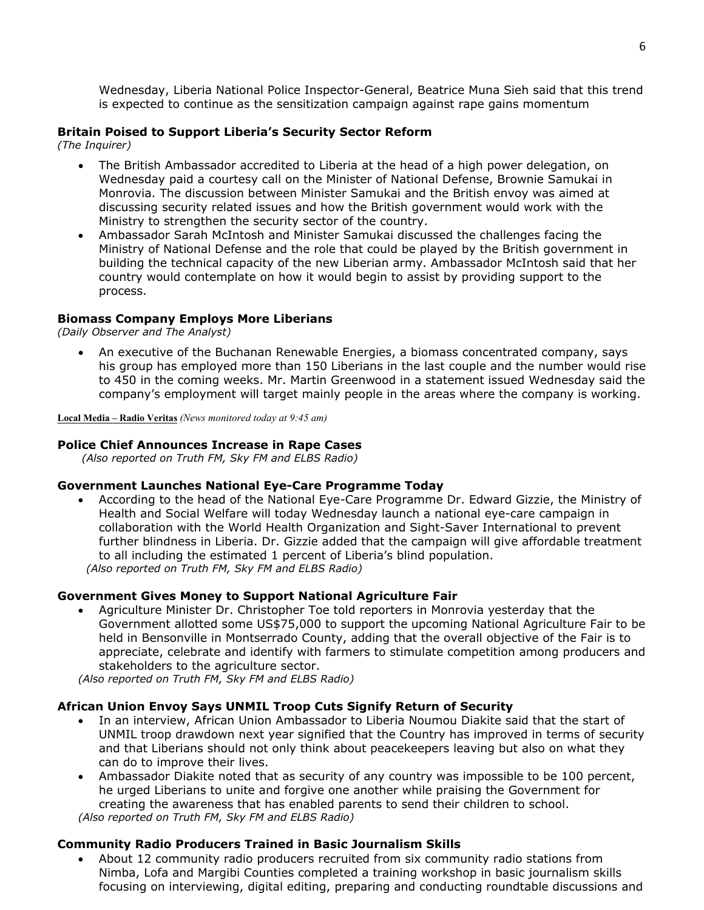Wednesday, Liberia National Police Inspector-General, Beatrice Muna Sieh said that this trend is expected to continue as the sensitization campaign against rape gains momentum

#### **Britain Poised to Support Liberia's Security Sector Reform**

*(The Inquirer)* 

- The British Ambassador accredited to Liberia at the head of a high power delegation, on Wednesday paid a courtesy call on the Minister of National Defense, Brownie Samukai in Monrovia. The discussion between Minister Samukai and the British envoy was aimed at discussing security related issues and how the British government would work with the Ministry to strengthen the security sector of the country.
- Ambassador Sarah McIntosh and Minister Samukai discussed the challenges facing the Ministry of National Defense and the role that could be played by the British government in building the technical capacity of the new Liberian army. Ambassador McIntosh said that her country would contemplate on how it would begin to assist by providing support to the process.

#### **Biomass Company Employs More Liberians**

*(Daily Observer and The Analyst)* 

• An executive of the Buchanan Renewable Energies, a biomass concentrated company, says his group has employed more than 150 Liberians in the last couple and the number would rise to 450 in the coming weeks. Mr. Martin Greenwood in a statement issued Wednesday said the company's employment will target mainly people in the areas where the company is working.

**Local Media – Radio Veritas** *(News monitored today at 9:45 am)*

#### **Police Chief Announces Increase in Rape Cases**

 *(Also reported on Truth FM, Sky FM and ELBS Radio)*

#### **Government Launches National Eye-Care Programme Today**

• According to the head of the National Eye-Care Programme Dr. Edward Gizzie, the Ministry of Health and Social Welfare will today Wednesday launch a national eye-care campaign in collaboration with the World Health Organization and Sight-Saver International to prevent further blindness in Liberia. Dr. Gizzie added that the campaign will give affordable treatment to all including the estimated 1 percent of Liberia's blind population. *(Also reported on Truth FM, Sky FM and ELBS Radio)*

#### **Government Gives Money to Support National Agriculture Fair**

• Agriculture Minister Dr. Christopher Toe told reporters in Monrovia yesterday that the Government allotted some US\$75,000 to support the upcoming National Agriculture Fair to be held in Bensonville in Montserrado County, adding that the overall objective of the Fair is to appreciate, celebrate and identify with farmers to stimulate competition among producers and stakeholders to the agriculture sector.

*(Also reported on Truth FM, Sky FM and ELBS Radio)*

#### **African Union Envoy Says UNMIL Troop Cuts Signify Return of Security**

- In an interview, African Union Ambassador to Liberia Noumou Diakite said that the start of UNMIL troop drawdown next year signified that the Country has improved in terms of security and that Liberians should not only think about peacekeepers leaving but also on what they can do to improve their lives.
- Ambassador Diakite noted that as security of any country was impossible to be 100 percent, he urged Liberians to unite and forgive one another while praising the Government for creating the awareness that has enabled parents to send their children to school.

*(Also reported on Truth FM, Sky FM and ELBS Radio)*

#### **Community Radio Producers Trained in Basic Journalism Skills**

• About 12 community radio producers recruited from six community radio stations from Nimba, Lofa and Margibi Counties completed a training workshop in basic journalism skills focusing on interviewing, digital editing, preparing and conducting roundtable discussions and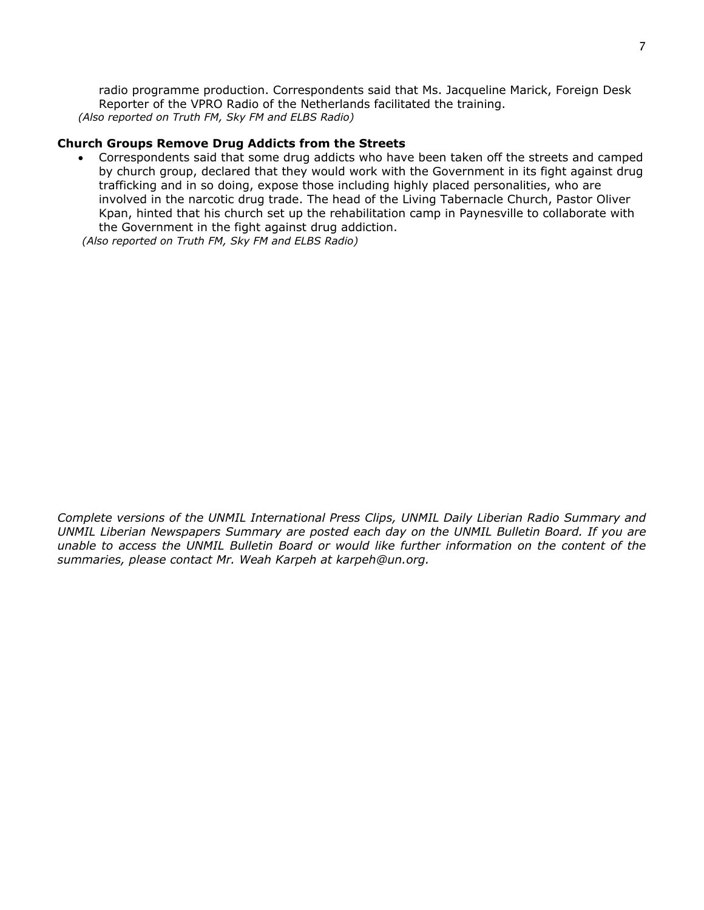radio programme production. Correspondents said that Ms. Jacqueline Marick, Foreign Desk Reporter of the VPRO Radio of the Netherlands facilitated the training. *(Also reported on Truth FM, Sky FM and ELBS Radio)* 

#### **Church Groups Remove Drug Addicts from the Streets**

• Correspondents said that some drug addicts who have been taken off the streets and camped by church group, declared that they would work with the Government in its fight against drug trafficking and in so doing, expose those including highly placed personalities, who are involved in the narcotic drug trade. The head of the Living Tabernacle Church, Pastor Oliver Kpan, hinted that his church set up the rehabilitation camp in Paynesville to collaborate with the Government in the fight against drug addiction.

*(Also reported on Truth FM, Sky FM and ELBS Radio)*

*Complete versions of the UNMIL International Press Clips, UNMIL Daily Liberian Radio Summary and UNMIL Liberian Newspapers Summary are posted each day on the UNMIL Bulletin Board. If you are unable to access the UNMIL Bulletin Board or would like further information on the content of the summaries, please contact Mr. Weah Karpeh at karpeh@un.org.*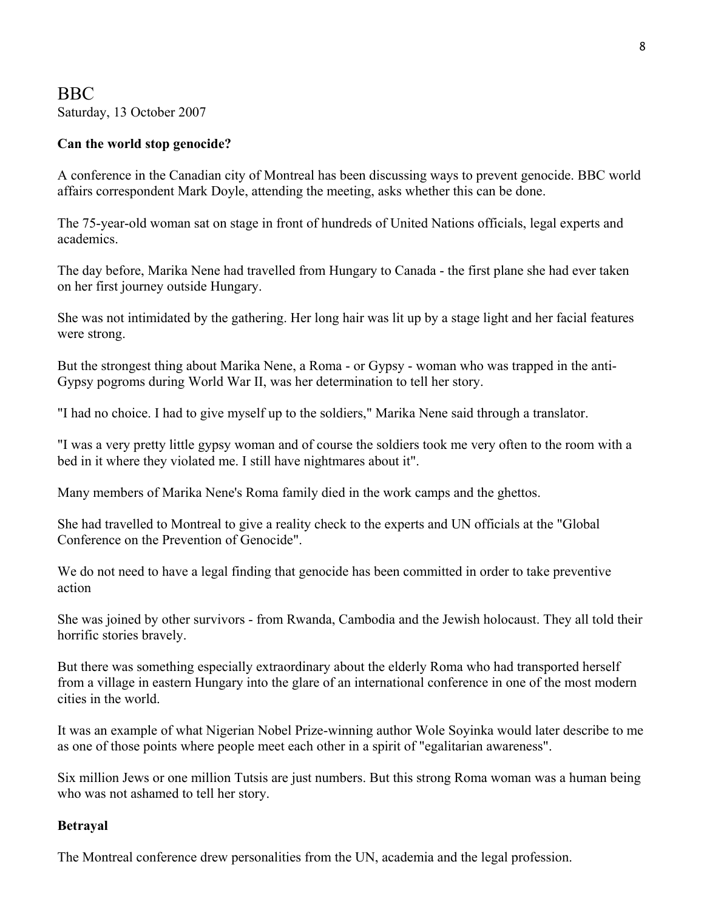# BBC Saturday, 13 October 2007

# **Can the world stop genocide?**

A conference in the Canadian city of Montreal has been discussing ways to prevent genocide. BBC world affairs correspondent Mark Doyle, attending the meeting, asks whether this can be done.

The 75-year-old woman sat on stage in front of hundreds of United Nations officials, legal experts and academics.

The day before, Marika Nene had travelled from Hungary to Canada - the first plane she had ever taken on her first journey outside Hungary.

She was not intimidated by the gathering. Her long hair was lit up by a stage light and her facial features were strong.

But the strongest thing about Marika Nene, a Roma - or Gypsy - woman who was trapped in the anti-Gypsy pogroms during World War II, was her determination to tell her story.

"I had no choice. I had to give myself up to the soldiers," Marika Nene said through a translator.

"I was a very pretty little gypsy woman and of course the soldiers took me very often to the room with a bed in it where they violated me. I still have nightmares about it".

Many members of Marika Nene's Roma family died in the work camps and the ghettos.

She had travelled to Montreal to give a reality check to the experts and UN officials at the "Global Conference on the Prevention of Genocide".

We do not need to have a legal finding that genocide has been committed in order to take preventive action

She was joined by other survivors - from Rwanda, Cambodia and the Jewish holocaust. They all told their horrific stories bravely.

But there was something especially extraordinary about the elderly Roma who had transported herself from a village in eastern Hungary into the glare of an international conference in one of the most modern cities in the world.

It was an example of what Nigerian Nobel Prize-winning author Wole Soyinka would later describe to me as one of those points where people meet each other in a spirit of "egalitarian awareness".

Six million Jews or one million Tutsis are just numbers. But this strong Roma woman was a human being who was not ashamed to tell her story.

# **Betrayal**

The Montreal conference drew personalities from the UN, academia and the legal profession.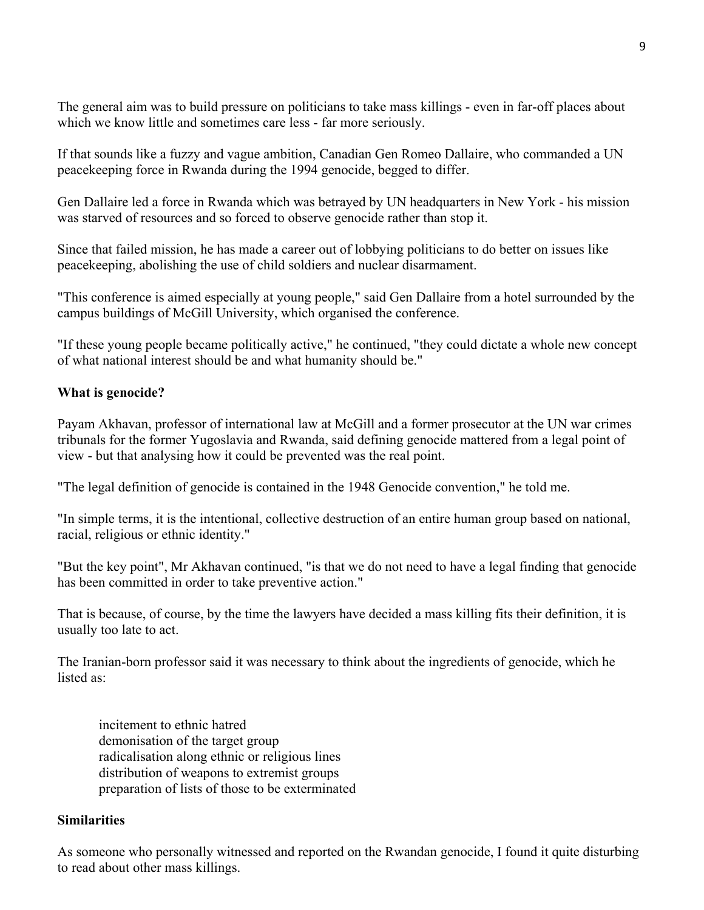The general aim was to build pressure on politicians to take mass killings - even in far-off places about which we know little and sometimes care less - far more seriously.

If that sounds like a fuzzy and vague ambition, Canadian Gen Romeo Dallaire, who commanded a UN peacekeeping force in Rwanda during the 1994 genocide, begged to differ.

Gen Dallaire led a force in Rwanda which was betrayed by UN headquarters in New York - his mission was starved of resources and so forced to observe genocide rather than stop it.

Since that failed mission, he has made a career out of lobbying politicians to do better on issues like peacekeeping, abolishing the use of child soldiers and nuclear disarmament.

"This conference is aimed especially at young people," said Gen Dallaire from a hotel surrounded by the campus buildings of McGill University, which organised the conference.

"If these young people became politically active," he continued, "they could dictate a whole new concept of what national interest should be and what humanity should be."

# **What is genocide?**

Payam Akhavan, professor of international law at McGill and a former prosecutor at the UN war crimes tribunals for the former Yugoslavia and Rwanda, said defining genocide mattered from a legal point of view - but that analysing how it could be prevented was the real point.

"The legal definition of genocide is contained in the 1948 Genocide convention," he told me.

"In simple terms, it is the intentional, collective destruction of an entire human group based on national, racial, religious or ethnic identity."

"But the key point", Mr Akhavan continued, "is that we do not need to have a legal finding that genocide has been committed in order to take preventive action."

That is because, of course, by the time the lawyers have decided a mass killing fits their definition, it is usually too late to act.

The Iranian-born professor said it was necessary to think about the ingredients of genocide, which he listed as:

incitement to ethnic hatred demonisation of the target group radicalisation along ethnic or religious lines distribution of weapons to extremist groups preparation of lists of those to be exterminated

## **Similarities**

As someone who personally witnessed and reported on the Rwandan genocide, I found it quite disturbing to read about other mass killings.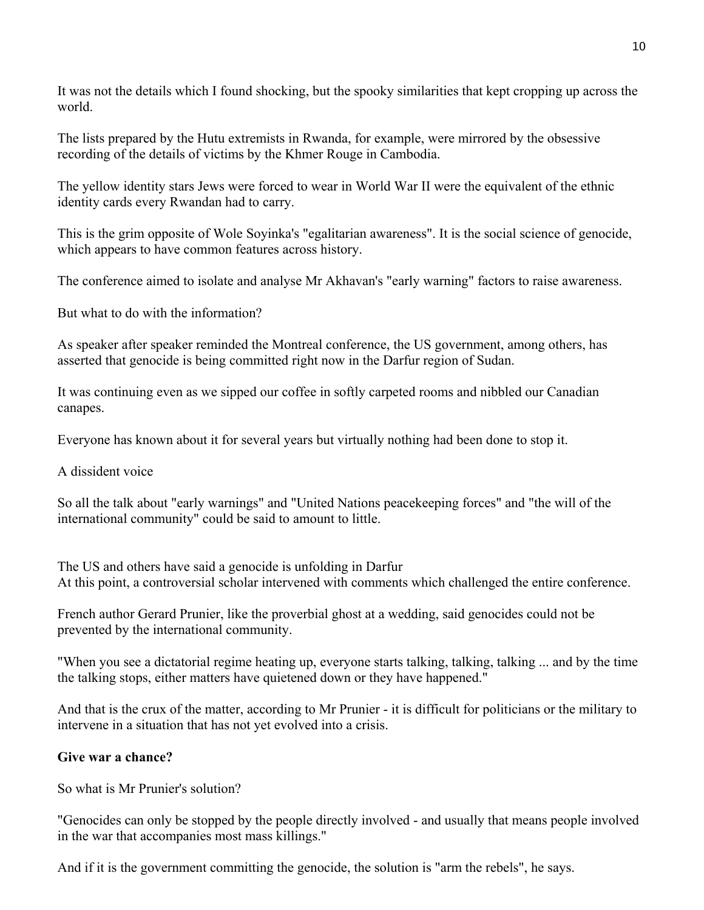It was not the details which I found shocking, but the spooky similarities that kept cropping up across the world.

The lists prepared by the Hutu extremists in Rwanda, for example, were mirrored by the obsessive recording of the details of victims by the Khmer Rouge in Cambodia.

The yellow identity stars Jews were forced to wear in World War II were the equivalent of the ethnic identity cards every Rwandan had to carry.

This is the grim opposite of Wole Soyinka's "egalitarian awareness". It is the social science of genocide, which appears to have common features across history.

The conference aimed to isolate and analyse Mr Akhavan's "early warning" factors to raise awareness.

But what to do with the information?

As speaker after speaker reminded the Montreal conference, the US government, among others, has asserted that genocide is being committed right now in the Darfur region of Sudan.

It was continuing even as we sipped our coffee in softly carpeted rooms and nibbled our Canadian canapes.

Everyone has known about it for several years but virtually nothing had been done to stop it.

A dissident voice

So all the talk about "early warnings" and "United Nations peacekeeping forces" and "the will of the international community" could be said to amount to little.

The US and others have said a genocide is unfolding in Darfur At this point, a controversial scholar intervened with comments which challenged the entire conference.

French author Gerard Prunier, like the proverbial ghost at a wedding, said genocides could not be prevented by the international community.

"When you see a dictatorial regime heating up, everyone starts talking, talking, talking ... and by the time the talking stops, either matters have quietened down or they have happened."

And that is the crux of the matter, according to Mr Prunier - it is difficult for politicians or the military to intervene in a situation that has not yet evolved into a crisis.

# **Give war a chance?**

So what is Mr Prunier's solution?

"Genocides can only be stopped by the people directly involved - and usually that means people involved in the war that accompanies most mass killings."

And if it is the government committing the genocide, the solution is "arm the rebels", he says.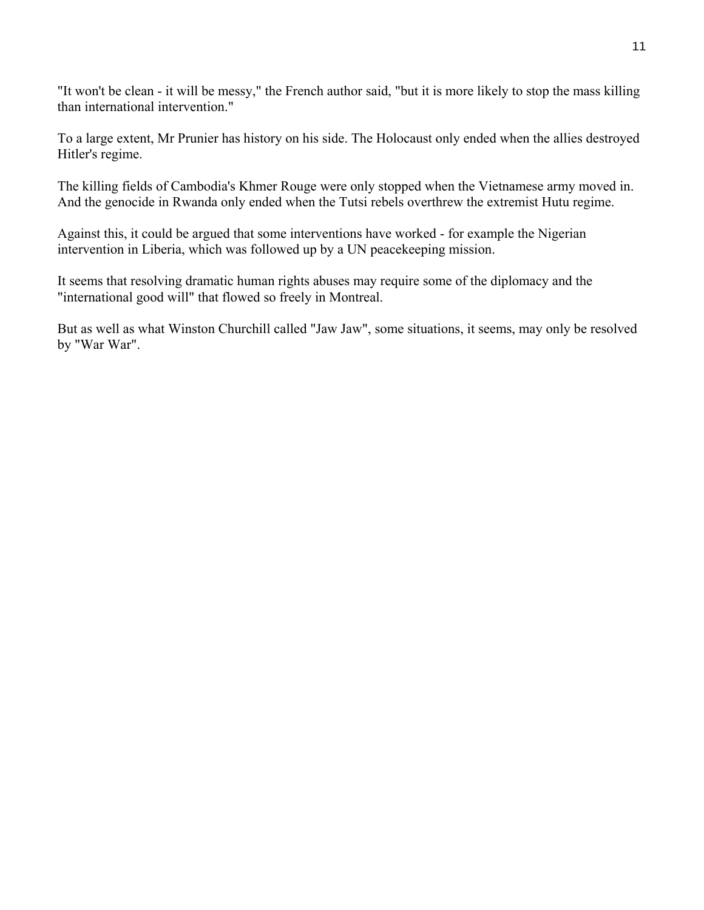"It won't be clean - it will be messy," the French author said, "but it is more likely to stop the mass killing than international intervention."

To a large extent, Mr Prunier has history on his side. The Holocaust only ended when the allies destroyed Hitler's regime.

The killing fields of Cambodia's Khmer Rouge were only stopped when the Vietnamese army moved in. And the genocide in Rwanda only ended when the Tutsi rebels overthrew the extremist Hutu regime.

Against this, it could be argued that some interventions have worked - for example the Nigerian intervention in Liberia, which was followed up by a UN peacekeeping mission.

It seems that resolving dramatic human rights abuses may require some of the diplomacy and the "international good will" that flowed so freely in Montreal.

But as well as what Winston Churchill called "Jaw Jaw", some situations, it seems, may only be resolved by "War War".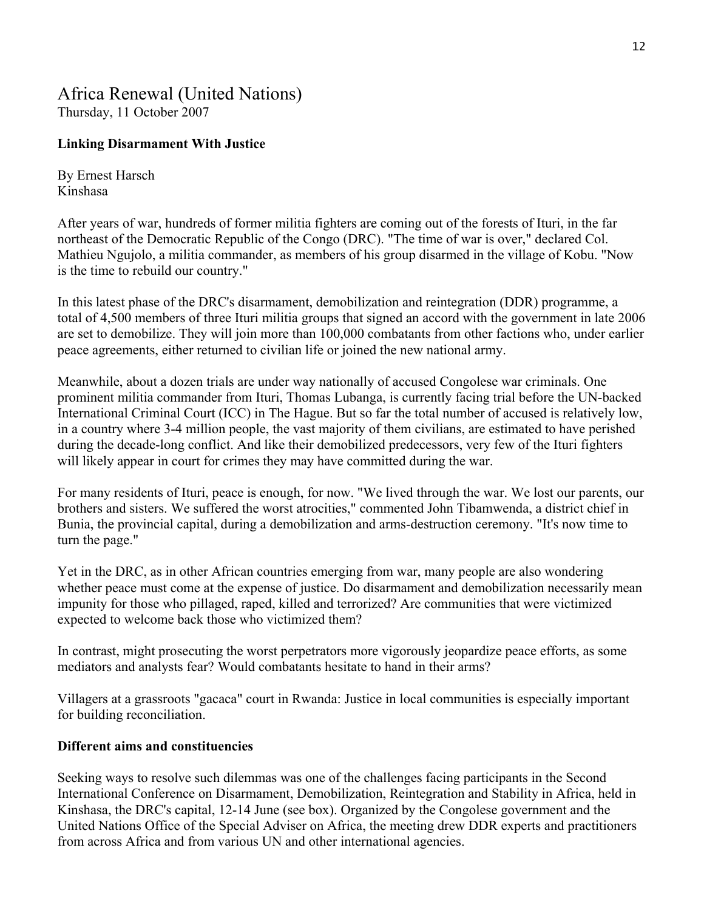# Africa Renewal (United Nations)

Thursday, 11 October 2007

# **Linking Disarmament With Justice**

By Ernest Harsch Kinshasa

After years of war, hundreds of former militia fighters are coming out of the forests of Ituri, in the far northeast of the Democratic Republic of the Congo (DRC). "The time of war is over," declared Col. Mathieu Ngujolo, a militia commander, as members of his group disarmed in the village of Kobu. "Now is the time to rebuild our country."

In this latest phase of the DRC's disarmament, demobilization and reintegration (DDR) programme, a total of 4,500 members of three Ituri militia groups that signed an accord with the government in late 2006 are set to demobilize. They will join more than 100,000 combatants from other factions who, under earlier peace agreements, either returned to civilian life or joined the new national army.

Meanwhile, about a dozen trials are under way nationally of accused Congolese war criminals. One prominent militia commander from Ituri, Thomas Lubanga, is currently facing trial before the UN-backed International Criminal Court (ICC) in The Hague. But so far the total number of accused is relatively low, in a country where 3-4 million people, the vast majority of them civilians, are estimated to have perished during the decade-long conflict. And like their demobilized predecessors, very few of the Ituri fighters will likely appear in court for crimes they may have committed during the war.

For many residents of Ituri, peace is enough, for now. "We lived through the war. We lost our parents, our brothers and sisters. We suffered the worst atrocities," commented John Tibamwenda, a district chief in Bunia, the provincial capital, during a demobilization and arms-destruction ceremony. "It's now time to turn the page."

Yet in the DRC, as in other African countries emerging from war, many people are also wondering whether peace must come at the expense of justice. Do disarmament and demobilization necessarily mean impunity for those who pillaged, raped, killed and terrorized? Are communities that were victimized expected to welcome back those who victimized them?

In contrast, might prosecuting the worst perpetrators more vigorously jeopardize peace efforts, as some mediators and analysts fear? Would combatants hesitate to hand in their arms?

Villagers at a grassroots "gacaca" court in Rwanda: Justice in local communities is especially important for building reconciliation.

# **Different aims and constituencies**

Seeking ways to resolve such dilemmas was one of the challenges facing participants in the Second International Conference on Disarmament, Demobilization, Reintegration and Stability in Africa, held in Kinshasa, the DRC's capital, 12-14 June (see box). Organized by the Congolese government and the United Nations Office of the Special Adviser on Africa, the meeting drew DDR experts and practitioners from across Africa and from various UN and other international agencies.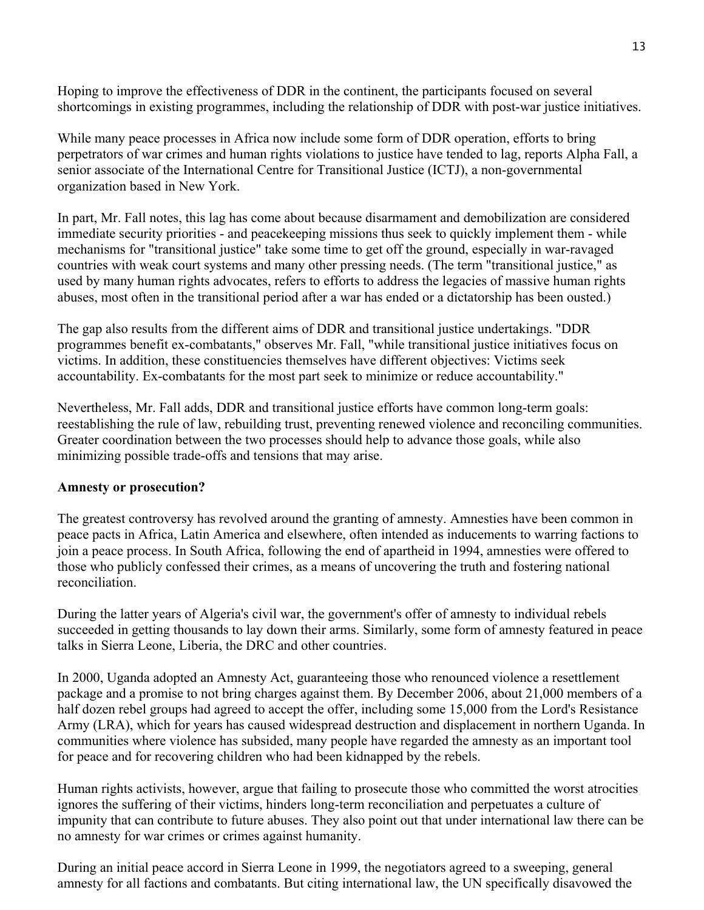Hoping to improve the effectiveness of DDR in the continent, the participants focused on several shortcomings in existing programmes, including the relationship of DDR with post-war justice initiatives.

While many peace processes in Africa now include some form of DDR operation, efforts to bring perpetrators of war crimes and human rights violations to justice have tended to lag, reports Alpha Fall, a senior associate of the International Centre for Transitional Justice (ICTJ), a non-governmental organization based in New York.

In part, Mr. Fall notes, this lag has come about because disarmament and demobilization are considered immediate security priorities - and peacekeeping missions thus seek to quickly implement them - while mechanisms for "transitional justice" take some time to get off the ground, especially in war-ravaged countries with weak court systems and many other pressing needs. (The term "transitional justice," as used by many human rights advocates, refers to efforts to address the legacies of massive human rights abuses, most often in the transitional period after a war has ended or a dictatorship has been ousted.)

The gap also results from the different aims of DDR and transitional justice undertakings. "DDR programmes benefit ex-combatants," observes Mr. Fall, "while transitional justice initiatives focus on victims. In addition, these constituencies themselves have different objectives: Victims seek accountability. Ex-combatants for the most part seek to minimize or reduce accountability."

Nevertheless, Mr. Fall adds, DDR and transitional justice efforts have common long-term goals: reestablishing the rule of law, rebuilding trust, preventing renewed violence and reconciling communities. Greater coordination between the two processes should help to advance those goals, while also minimizing possible trade-offs and tensions that may arise.

# **Amnesty or prosecution?**

The greatest controversy has revolved around the granting of amnesty. Amnesties have been common in peace pacts in Africa, Latin America and elsewhere, often intended as inducements to warring factions to join a peace process. In South Africa, following the end of apartheid in 1994, amnesties were offered to those who publicly confessed their crimes, as a means of uncovering the truth and fostering national reconciliation.

During the latter years of Algeria's civil war, the government's offer of amnesty to individual rebels succeeded in getting thousands to lay down their arms. Similarly, some form of amnesty featured in peace talks in Sierra Leone, Liberia, the DRC and other countries.

In 2000, Uganda adopted an Amnesty Act, guaranteeing those who renounced violence a resettlement package and a promise to not bring charges against them. By December 2006, about 21,000 members of a half dozen rebel groups had agreed to accept the offer, including some 15,000 from the Lord's Resistance Army (LRA), which for years has caused widespread destruction and displacement in northern Uganda. In communities where violence has subsided, many people have regarded the amnesty as an important tool for peace and for recovering children who had been kidnapped by the rebels.

Human rights activists, however, argue that failing to prosecute those who committed the worst atrocities ignores the suffering of their victims, hinders long-term reconciliation and perpetuates a culture of impunity that can contribute to future abuses. They also point out that under international law there can be no amnesty for war crimes or crimes against humanity.

During an initial peace accord in Sierra Leone in 1999, the negotiators agreed to a sweeping, general amnesty for all factions and combatants. But citing international law, the UN specifically disavowed the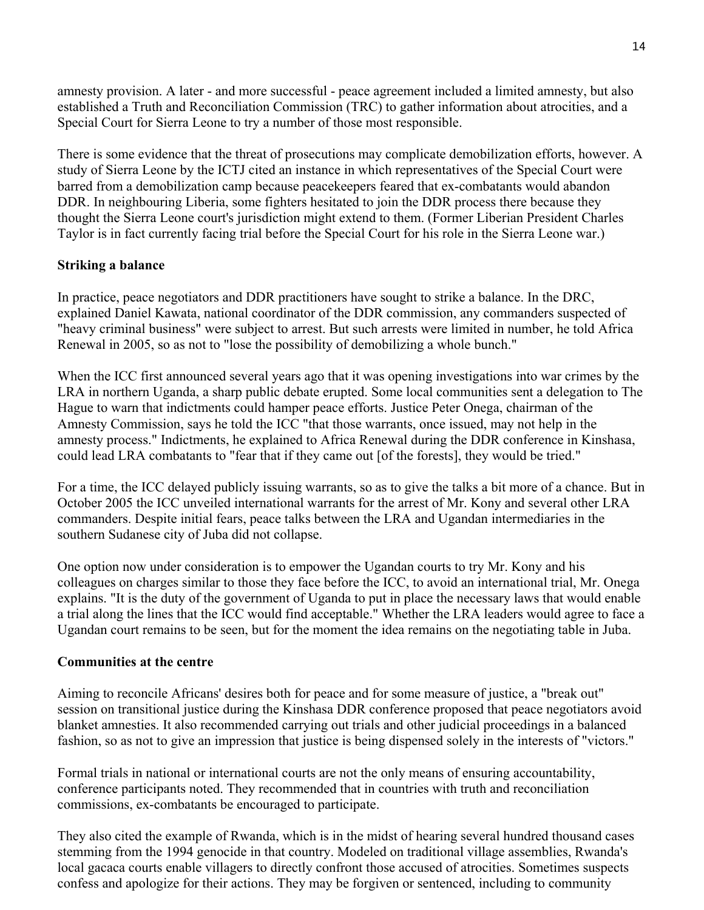amnesty provision. A later - and more successful - peace agreement included a limited amnesty, but also established a Truth and Reconciliation Commission (TRC) to gather information about atrocities, and a Special Court for Sierra Leone to try a number of those most responsible.

There is some evidence that the threat of prosecutions may complicate demobilization efforts, however. A study of Sierra Leone by the ICTJ cited an instance in which representatives of the Special Court were barred from a demobilization camp because peacekeepers feared that ex-combatants would abandon DDR. In neighbouring Liberia, some fighters hesitated to join the DDR process there because they thought the Sierra Leone court's jurisdiction might extend to them. (Former Liberian President Charles Taylor is in fact currently facing trial before the Special Court for his role in the Sierra Leone war.)

# **Striking a balance**

In practice, peace negotiators and DDR practitioners have sought to strike a balance. In the DRC, explained Daniel Kawata, national coordinator of the DDR commission, any commanders suspected of "heavy criminal business" were subject to arrest. But such arrests were limited in number, he told Africa Renewal in 2005, so as not to "lose the possibility of demobilizing a whole bunch."

When the ICC first announced several years ago that it was opening investigations into war crimes by the LRA in northern Uganda, a sharp public debate erupted. Some local communities sent a delegation to The Hague to warn that indictments could hamper peace efforts. Justice Peter Onega, chairman of the Amnesty Commission, says he told the ICC "that those warrants, once issued, may not help in the amnesty process." Indictments, he explained to Africa Renewal during the DDR conference in Kinshasa, could lead LRA combatants to "fear that if they came out [of the forests], they would be tried."

For a time, the ICC delayed publicly issuing warrants, so as to give the talks a bit more of a chance. But in October 2005 the ICC unveiled international warrants for the arrest of Mr. Kony and several other LRA commanders. Despite initial fears, peace talks between the LRA and Ugandan intermediaries in the southern Sudanese city of Juba did not collapse.

One option now under consideration is to empower the Ugandan courts to try Mr. Kony and his colleagues on charges similar to those they face before the ICC, to avoid an international trial, Mr. Onega explains. "It is the duty of the government of Uganda to put in place the necessary laws that would enable a trial along the lines that the ICC would find acceptable." Whether the LRA leaders would agree to face a Ugandan court remains to be seen, but for the moment the idea remains on the negotiating table in Juba.

# **Communities at the centre**

Aiming to reconcile Africans' desires both for peace and for some measure of justice, a "break out" session on transitional justice during the Kinshasa DDR conference proposed that peace negotiators avoid blanket amnesties. It also recommended carrying out trials and other judicial proceedings in a balanced fashion, so as not to give an impression that justice is being dispensed solely in the interests of "victors."

Formal trials in national or international courts are not the only means of ensuring accountability, conference participants noted. They recommended that in countries with truth and reconciliation commissions, ex-combatants be encouraged to participate.

They also cited the example of Rwanda, which is in the midst of hearing several hundred thousand cases stemming from the 1994 genocide in that country. Modeled on traditional village assemblies, Rwanda's local gacaca courts enable villagers to directly confront those accused of atrocities. Sometimes suspects confess and apologize for their actions. They may be forgiven or sentenced, including to community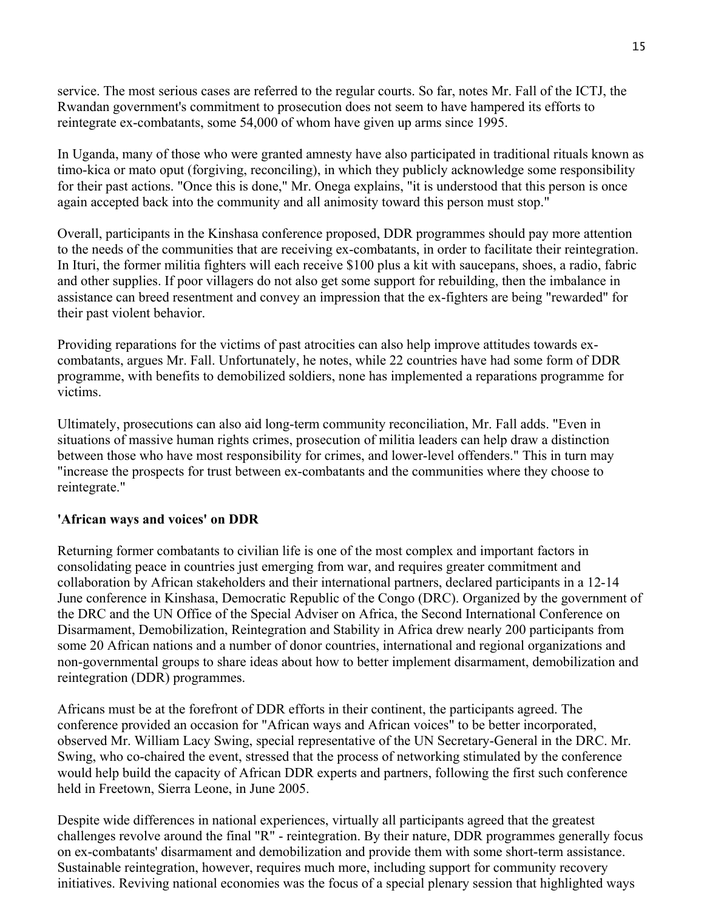service. The most serious cases are referred to the regular courts. So far, notes Mr. Fall of the ICTJ, the Rwandan government's commitment to prosecution does not seem to have hampered its efforts to reintegrate ex-combatants, some 54,000 of whom have given up arms since 1995.

In Uganda, many of those who were granted amnesty have also participated in traditional rituals known as timo-kica or mato oput (forgiving, reconciling), in which they publicly acknowledge some responsibility for their past actions. "Once this is done," Mr. Onega explains, "it is understood that this person is once again accepted back into the community and all animosity toward this person must stop."

Overall, participants in the Kinshasa conference proposed, DDR programmes should pay more attention to the needs of the communities that are receiving ex-combatants, in order to facilitate their reintegration. In Ituri, the former militia fighters will each receive \$100 plus a kit with saucepans, shoes, a radio, fabric and other supplies. If poor villagers do not also get some support for rebuilding, then the imbalance in assistance can breed resentment and convey an impression that the ex-fighters are being "rewarded" for their past violent behavior.

Providing reparations for the victims of past atrocities can also help improve attitudes towards excombatants, argues Mr. Fall. Unfortunately, he notes, while 22 countries have had some form of DDR programme, with benefits to demobilized soldiers, none has implemented a reparations programme for victims.

Ultimately, prosecutions can also aid long-term community reconciliation, Mr. Fall adds. "Even in situations of massive human rights crimes, prosecution of militia leaders can help draw a distinction between those who have most responsibility for crimes, and lower-level offenders." This in turn may "increase the prospects for trust between ex-combatants and the communities where they choose to reintegrate."

# **'African ways and voices' on DDR**

Returning former combatants to civilian life is one of the most complex and important factors in consolidating peace in countries just emerging from war, and requires greater commitment and collaboration by African stakeholders and their international partners, declared participants in a 12-14 June conference in Kinshasa, Democratic Republic of the Congo (DRC). Organized by the government of the DRC and the UN Office of the Special Adviser on Africa, the Second International Conference on Disarmament, Demobilization, Reintegration and Stability in Africa drew nearly 200 participants from some 20 African nations and a number of donor countries, international and regional organizations and non-governmental groups to share ideas about how to better implement disarmament, demobilization and reintegration (DDR) programmes.

Africans must be at the forefront of DDR efforts in their continent, the participants agreed. The conference provided an occasion for "African ways and African voices" to be better incorporated, observed Mr. William Lacy Swing, special representative of the UN Secretary-General in the DRC. Mr. Swing, who co-chaired the event, stressed that the process of networking stimulated by the conference would help build the capacity of African DDR experts and partners, following the first such conference held in Freetown, Sierra Leone, in June 2005.

Despite wide differences in national experiences, virtually all participants agreed that the greatest challenges revolve around the final "R" - reintegration. By their nature, DDR programmes generally focus on ex-combatants' disarmament and demobilization and provide them with some short-term assistance. Sustainable reintegration, however, requires much more, including support for community recovery initiatives. Reviving national economies was the focus of a special plenary session that highlighted ways